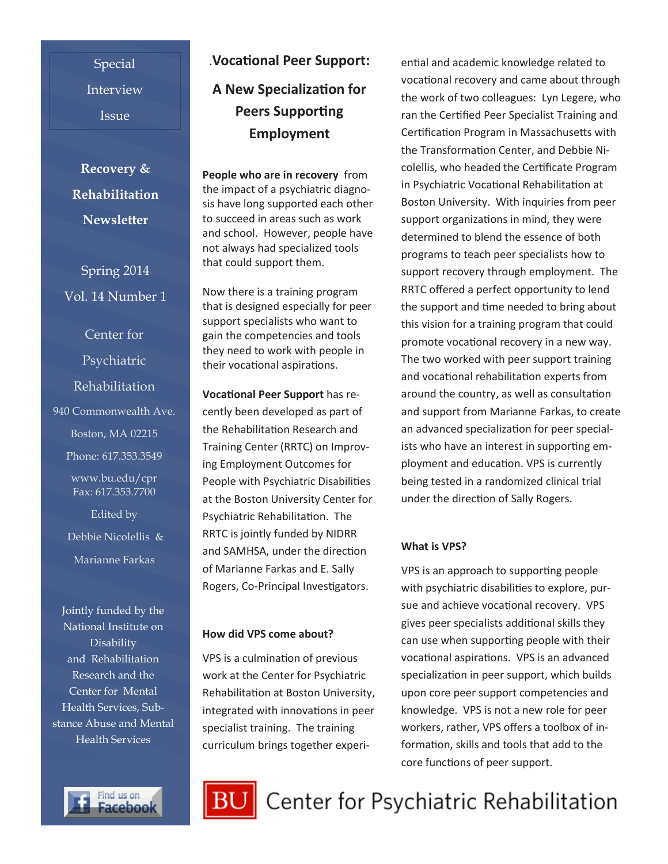Special Interview Issue

**Recovery & Rehabilitation Newsletter**

Spring 2014 Vol. 14 Number 1

Center for Psychiatric Rehabilitation 940 Commonwealth Ave. Boston, MA 02215 Phone: 617.353.3549 www.bu.edu/cpr Fax: 617.353.7700 Edited by Debbie Nicolellis & Marianne Farkas

Jointly funded by the National Institute on **Disability** and Rehabilitation Research and the Center for Mental Health Services, Substance Abuse and Mental Health Services



# .**Vocational Peer Support: A New Specialization for Peers Supporting Employment**

**People who are in recovery** from the impact of a psychiatric diagnosis have long supported each other to succeed in areas such as work and school. However, people have not always had specialized tools that could support them.

Now there is a training program that is designed especially for peer support specialists who want to gain the competencies and tools they need to work with people in their vocational aspirations.

**Vocational Peer Support** has recently been developed as part of the Rehabilitation Research and Training Center (RRTC) on Improving Employment Outcomes for People with Psychiatric Disabilities at the Boston University Center for Psychiatric Rehabilitation. The RRTC is jointly funded by NIDRR and SAMHSA, under the direction of Marianne Farkas and E. Sally Rogers, Co-Principal Investigators.

#### **How did VPS come about?**

VPS is a culmination of previous work at the Center for Psychiatric Rehabilitation at Boston University, integrated with innovations in peer specialist training. The training curriculum brings together experiential and academic knowledge related to vocational recovery and came about through the work of two colleagues: Lyn Legere, who ran the Certified Peer Specialist Training and Certification Program in Massachusetts with the Transformation Center, and Debbie Nicolellis, who headed the Certificate Program in Psychiatric Vocational Rehabilitation at Boston University. With inquiries from peer support organizations in mind, they were determined to blend the essence of both programs to teach peer specialists how to support recovery through employment. The RRTC offered a perfect opportunity to lend the support and time needed to bring about this vision for a training program that could promote vocational recovery in a new way. The two worked with peer support training and vocational rehabilitation experts from around the country, as well as consultation and support from Marianne Farkas, to create an advanced specialization for peer specialists who have an interest in supporting employment and education. VPS is currently being tested in a randomized clinical trial under the direction of Sally Rogers.

#### **What is VPS?**

VPS is an approach to supporting people with psychiatric disabilities to explore, pursue and achieve vocational recovery. VPS gives peer specialists additional skills they can use when supporting people with their vocational aspirations. VPS is an advanced specialization in peer support, which builds upon core peer support competencies and knowledge. VPS is not a new role for peer workers, rather, VPS offers a toolbox of information, skills and tools that add to the core functions of peer support.



# Center for Psychiatric Rehabilitation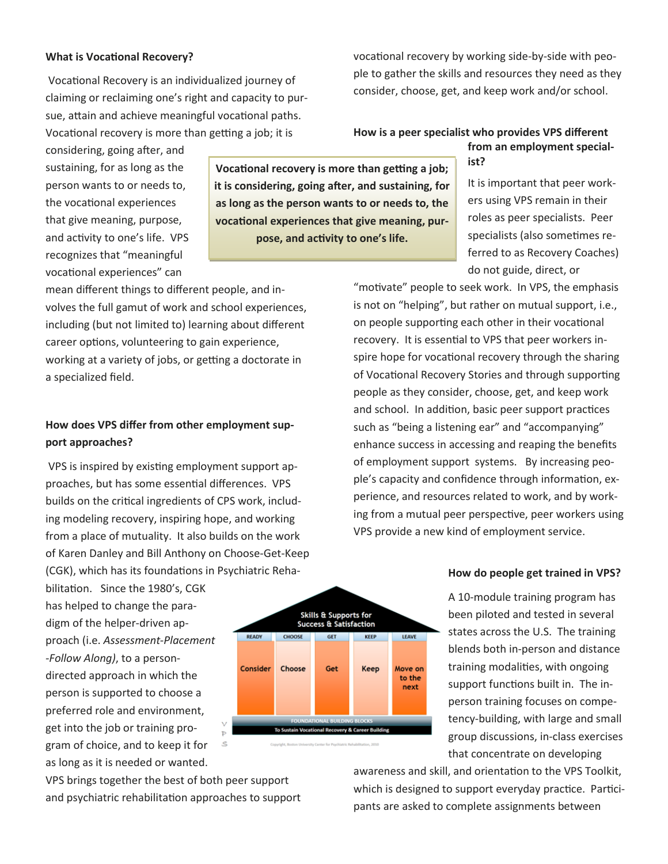#### **What is Vocational Recovery?**

Vocational Recovery is an individualized journey of claiming or reclaiming one's right and capacity to pursue, attain and achieve meaningful vocational paths. Vocational recovery is more than getting a job; it is

considering, going after, and sustaining, for as long as the person wants to or needs to, the vocational experiences that give meaning, purpose, and activity to one's life. VPS recognizes that "meaningful vocational experiences" can

mean different things to different people, and involves the full gamut of work and school experiences, including (but not limited to) learning about different career options, volunteering to gain experience, working at a variety of jobs, or getting a doctorate in a specialized field.

### **How does VPS differ from other employment support approaches?**

VPS is inspired by existing employment support approaches, but has some essential differences. VPS builds on the critical ingredients of CPS work, including modeling recovery, inspiring hope, and working from a place of mutuality. It also builds on the work of Karen Danley and Bill Anthony on Choose-Get-Keep (CGK), which has its foundations in Psychiatric Reha-

bilitation. Since the 1980's, CGK has helped to change the paradigm of the helper-driven approach (i.e. *Assessment-Placement -Follow Along)*, to a persondirected approach in which the person is supported to choose a preferred role and environment, get into the job or training program of choice, and to keep it for as long as it is needed or wanted.

VPS brings together the best of both peer support and psychiatric rehabilitation approaches to support



**How is a peer specialist who provides VPS different from an employment special-**

**ist?**

It is important that peer workers using VPS remain in their roles as peer specialists. Peer specialists (also sometimes referred to as Recovery Coaches) do not guide, direct, or

"motivate" people to seek work. In VPS, the emphasis is not on "helping", but rather on mutual support, i.e., on people supporting each other in their vocational recovery. It is essential to VPS that peer workers inspire hope for vocational recovery through the sharing of Vocational Recovery Stories and through supporting people as they consider, choose, get, and keep work and school. In addition, basic peer support practices such as "being a listening ear" and "accompanying" enhance success in accessing and reaping the benefits of employment support systems. By increasing people's capacity and confidence through information, experience, and resources related to work, and by working from a mutual peer perspective, peer workers using VPS provide a new kind of employment service.

#### **How do people get trained in VPS?**

A 10-module training program has been piloted and tested in several states across the U.S. The training blends both in-person and distance training modalities, with ongoing support functions built in. The inperson training focuses on competency-building, with large and small group discussions, in-class exercises that concentrate on developing

awareness and skill, and orientation to the VPS Toolkit, which is designed to support everyday practice. Participants are asked to complete assignments between



**Vocational recovery is more than getting a job; it is considering, going after, and sustaining, for as long as the person wants to or needs to, the vocational experiences that give meaning, purpose, and activity to one's life.**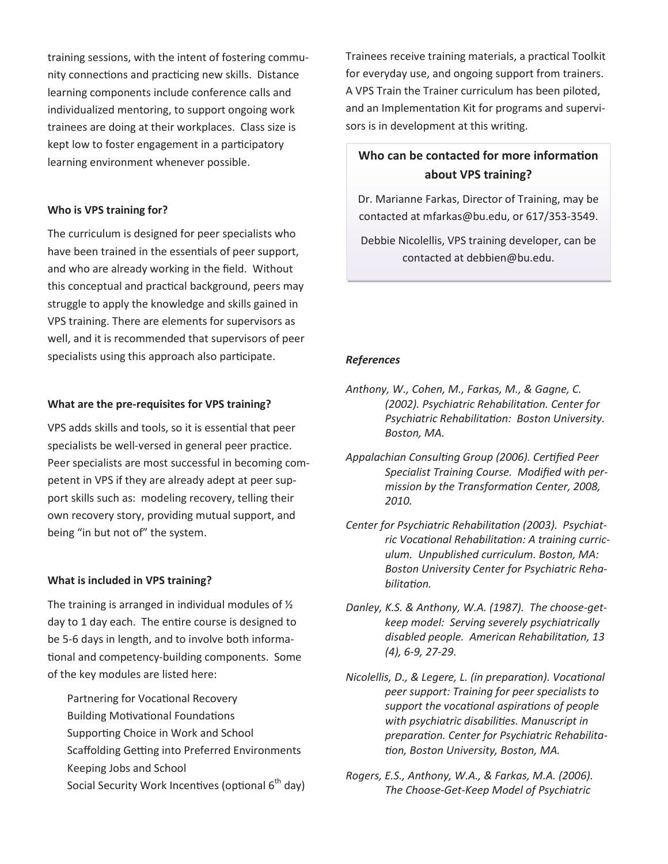training sessions, with the intent of fostering community connections and practicing new skills. Distance learning components include conference calls and individualized mentoring, to support ongoing work trainees are doing at their workplaces. Class size is kept low to foster engagement in a participatory learning environment whenever possible.

#### **Who is VPS training for?**

The curriculum is designed for peer specialists who have been trained in the essentials of peer support, and who are already working in the field. Without this conceptual and practical background, peers may struggle to apply the knowledge and skills gained in VPS training. There are elements for supervisors as well, and it is recommended that supervisors of peer specialists using this approach also participate.

#### **What are the pre-requisites for VPS training?**

VPS adds skills and tools, so it is essential that peer specialists be well-versed in general peer practice. Peer specialists are most successful in becoming competent in VPS if they are already adept at peer support skills such as: modeling recovery, telling their own recovery story, providing mutual support, and being "in but not of" the system.

#### **What is included in VPS training?**

The training is arranged in individual modules of ½ day to 1 day each. The entire course is designed to be 5-6 days in length, and to involve both informational and competency-building components. Some of the key modules are listed here:

Partnering for Vocational Recovery Building Motivational Foundations Supporting Choice in Work and School Scaffolding Getting into Preferred Environments Keeping Jobs and School Social Security Work Incentives (optional  $6<sup>th</sup>$  day)

Trainees receive training materials, a practical Toolkit for everyday use, and ongoing support from trainers. A VPS Train the Trainer curriculum has been piloted, and an Implementation Kit for programs and supervisors is in development at this writing.

## **Who can be contacted for more information about VPS training?**

Dr. Marianne Farkas, Director of Training, may be contacted at mfarkas@bu.edu, or 617/353-3549.

Debbie Nicolellis, VPS training developer, can be contacted at debbien@bu.edu.

#### *References*

*Anthony, W., Cohen, M., Farkas, M., & Gagne, C. (2002). Psychiatric Rehabilitation. Center for Psychiatric Rehabilitation: Boston University. Boston, MA.*

- *Appalachian Consulting Group (2006). Certified Peer Specialist Training Course. Modified with permission by the Transformation Center, 2008, 2010.*
- *Center for Psychiatric Rehabilitation (2003). Psychiatric Vocational Rehabilitation: A training curriculum. Unpublished curriculum. Boston, MA: Boston University Center for Psychiatric Rehabilitation.*
- *Danley, K.S. & Anthony, W.A. (1987). The choose-getkeep model: Serving severely psychiatrically disabled people. American Rehabilitation, 13 (4), 6-9, 27-29.*
- *Nicolellis, D., & Legere, L. (in preparation). Vocational peer support: Training for peer specialists to support the vocational aspirations of people with psychiatric disabilities. Manuscript in preparation. Center for Psychiatric Rehabilitation, Boston University, Boston, MA.*
- *Rogers, E.S., Anthony, W.A., & Farkas, M.A. (2006). The Choose-Get-Keep Model of Psychiatric*